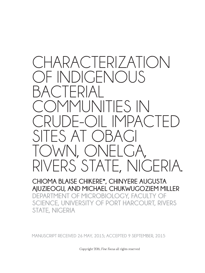

**CHIOMA BLAISE CHIKERE\*, CHINYERE AUGUSTA AJUZIEOGU, AND MICHAEL CHUKWUGOZIEM MILLER DEPARTMENT OF MICROBIOLOGY, FACULTY OF SCIENCE, UNIVERSITY OF PORT HARCOURT, RIVERS STATE, NIGERIA**

**MANUSCRIPT RECEIVED 26 MAY, 2015; ACCEPTED 9 SEPTEMBER, 2015**

Copyright 2016, *Fine Focus* all rights reserved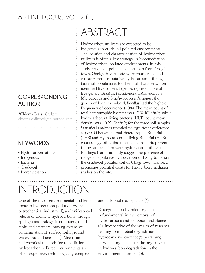#### **CORRESPONDING AUTHOR**

\*Chioma Blaise Chikere chioma.chikere@uniport.edu.ng

. . . . . . . . . . . . . . . .

#### **KEYWORDS**

- Hydrocarbon-utilizers
- Indigenous
- Bacteria
- Crude-oil
- Bioremediation

# INTRODUCTION

One of the major environmental problems today is hydrocarbon pollution by the petrochemical industry (1), and widespread release of aromatic hydrocarbons through spillages and leakage from underground tanks and steamers, causing extensive contamination of surface soils, ground water, seas and oceans (2). Mechanical and chemical methods for remediation of hydrocarbon polluted environments are often expensive, technologically complex

# ABSTRACT

Hydrocarbon utilizers are expected to be indigenous in crude-oil polluted environments. The isolation and characterization of hydrocarbon utilizers is often a key strategy in bioremediation of hydrocarbon-polluted environments. In this study, crude-oil polluted soil samples from Obagi town, Onelga, Rivers state were enumerated and characterized for putative hydrocarbon utilizing bacterial populations. Biochemical characterization identifed fve bacterial species representative of fve genera: *Bacillus, Pseudomonas, Acinetobacter, Micrococcus* and *Staphylococcus.* Amongst the genera of bacteria isolated, *Bacillus* had the highest frequency of occurrence (40%). The mean count of total heterotrophic bacteria was 1.7 X 10<sup>7</sup> cfu/g, while hydrocarbon utilizing bacteria (HUB) count mean density was 1.0 X 10<sup>7</sup> cfu/g for the three soil samples. Statistical analyses revealed no signifcant difference at *p*>0.05 between Total Heterotrophic Bacterial (THB) and Hydrocarbon Utilizing Bacterial (HUB) counts, suggesting that most of the bacteria present in the sampled sites were hydrocarbon utilizers. Findings from this study suggest the presence of indigenous putative hydrocarbon utilizing bacteria in the crude-oil polluted soil of Obagi town. Hence, a promising potential exists for future bioremediation studies on the site.

and lack public acceptance (3).

Biodegradation by microorganisms is fundamental in the removal of hydrocarbons and xenobiotic substances (4). Irrespective of the wealth of research relating to microbial degradation of hydrocarbons, knowledge pertaining to which organisms are the key players in hydrocarbon degradation in the environment is limited (5).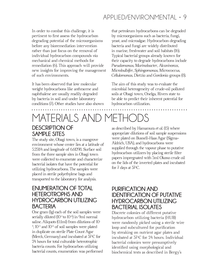### APPLIED/ENVIRONMENTAL • 9

that petroleum hydrocarbons can be degraded by microorganisms such as bacteria, fungi, yeast, and microalgae. Hydrocarbon degrading bacteria and fungi are widely distributed in marine, freshwater and soil habitats (16). Typical bacterial groups already known for their capacity to degrade hydrocarbons include *Pseudomonas*, *Marinobacter*, *Alcanivorax*, *Microbulbifer*, *Sphingomonas*, *Micrococcus*, *Cellulomonas*, *Dietzia* and *Gordonia* groups (8).

In order to combat this challenge, it is pertinent to frst assess the hydrocarbon degrading potential of the microorganisms before any bioremediation intervention rather than just focus on the removal of individual hydrocarbon compounds *via* mechanical and chemical methods for remediation (6). This approach will provide new insights for improving the management of such environments.

It has been observed that low molecular weight hydrocarbons like anthracene and naphthalene are usually readily degraded by bacteria in soil and under laboratory conditions (7). Other studies have also shown

# MATERIALS AND METHODS

#### The aim of this study was to evaluate the microbial heterogeneity of crude-oil polluted soils at Obagi town, Onelga, Rivers state to be able to predict their inherent potential for hydrocarbon utilization.

### **DESCRIPTION OF SAMPLE SITES**

The study site, Obagi town, is a mangrove environment whose center lies at a latitude of 5.25114 and longitude of 6.61298. Surface soil from the three sample sites in Obagi town were collected to enumerate and characterize bacterial isolates that have the potential for utilizing hydrocarbons. The samples were placed in sterile polyethylene bags and transported to the laboratory for analysis.

#### **ENUMERATION OF TOTAL HETEROTROPHS AND HYDROCARBON UTILIZING BACTERIA**

One gram (1g) each of the soil samples were serially diluted  $(10^{-1}$  to  $10^{-6}$ ) in 9ml normal saline. Aliquots (0.1ml) from dilutions of 10- <sup>4</sup>, 10<sup>-5</sup> and 10<sup>-6</sup> of soil samples were plated in duplicate on sterile Plate Count Agar (Merck, Germany) and incubated at 37°C for 24 hours for total culturable heterotrophic bacteria counts. For hydrocarbon utilizing bacterial counts, enumeration was performed as described by Hamamura *et al*. (15) where appropriate dilutions of soil sample suspensions were plated on Busnell-Haas Agar (Sigma-Aldrich, USA), and hydrocarbons were supplied through the vapour phase to putative hydrocarbon utilizers by placing sterile flter papers impregnated with 5ml Okono crude oil on the lids of the inverted plates and incubated for 7 days at 37°C.

#### **PURIFICATION AND IDENTIFICATION OF PUTATIVE HYDROCARBON UTILIZING BACTERIAL ISOLATES**

Discrete colonies of different putative hydrocarbon utilizing bacteria (HUB) were randomly picked using a sterile wire loop and subcultured for purifcation by streaking on nutrient agar plates and incubated at 37<sup>o</sup> C for 24 hours. Individual bacterial colonies were presumptively identifed using morphological and biochemical tests as described in Bergy's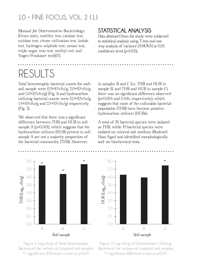*Manual for Determinative Bacteriology* (Gram stain, motility test, catalase test, oxidase test, citrate utilization test, indole test, hydrogen sulphide test, urease test, triple sugar iron test, methyl red, and Voges-Proskauer test)(17).

#### **STATISTICAL ANALYSIS**

Data obtained from the study were subjected to statistical analysis using T-test and one way analysis of variance (ANOVA) at 0.05 confdence level (*p*<0.05).

# RESULTS

Total heterotrophic bacterial counts for each soil sample were  $(1.9\times10^{7}$ cfu/g,  $2.0\times10^{6}$ cfu/g, and 3.0×107 cfu/g) (Fig. 1) and hydrocarbon utilizing bacterial counts were  $(2.1 \times 10^{6} \text{cfu/g},$  $1.4\times10^6$ c $\mathrm{fu/g}$  and  $2.7\times10^7$ c $\mathrm{fu/g}$ ) respectively (Fig. 2).

We observed that there was a signifcant difference between THB and HUB in soil sample A (*p*=0.001), which suggests that the hydrocarbon utilizers (HUB) present in soil sample A are not a majority proportion of the bacterial community (THB). However,

in samples B and C (i.e, THB and HUB in sample B, and THB and HUB in sample C) there was no signifcant difference observed (*p*=0.084 and 0.441, respectively), which suggests that most of the culturable bacterial population (THB) have become putative hydrocarbon utilizers (HUBs).

A total of 28 bacterial species were isolated as THB, while 19 bacterial species were isolated on mineral salt medium (Bushnell Haas Agar) and identifed morphologically and *via* biochemical tests.







Figure 2. Log cfu/g of Hydrocarbon Utilizing Bacteria of the various oil impacted soil samples \*= signifcant difference exists at *p*=0.05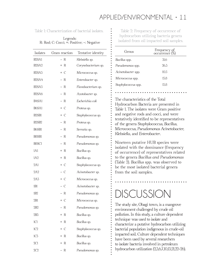Table 1: Characterization of bacterial isolates. Table 2: Frequency of occurrence of

Legends: R: Rod; C: Cocci; +: Positive; -: Negative

| Isolates                       | Gram reaction                 | Tentative identity  |
|--------------------------------|-------------------------------|---------------------|
| B <sub>2</sub> SA <sub>1</sub> | R<br>$\overline{\phantom{0}}$ | Klebsiella sp.      |
| B <sub>2</sub> SA <sub>2</sub> | + R                           | Corynebacterium sp. |
| B <sub>2</sub> SA <sub>3</sub> | $+ C$                         | Micrococcus sp.     |
| B <sub>2</sub> SA <sub>4</sub> | - R                           | Enterobacter sp.    |
| B <sub>2</sub> SA <sub>5</sub> | – R                           | Flavobacterium sp.  |
| B <sub>2</sub> SA <sub>6</sub> | - R                           | Azotobacter sp.     |
| B4SA1                          | - R                           | Escherichia coli    |
| B6SA1                          | $+ C$                         | Proteus sp.         |
| B <sub>2</sub> SB <sub>1</sub> | + C                           | Staphylococcus sp.  |
| B <sub>2</sub> SB <sub>2</sub> | – R                           | Proteus sp.         |
| B6SB1                          | - R                           | Serratia sp.        |
| B8SB1                          | – R                           | Pseudomonas sp.     |
| B <sub>8</sub> SC <sub>1</sub> | - R                           | Pseudomonas sp.     |
| 1A1                            | + R                           | Bacillus sp.        |
| 1A2                            | + R                           | Bacillus sp.        |
| 2A1                            | + C                           | Staphylococcus sp.  |
| 2A2                            | - C                           | Acinetobacter sp.   |
| 2A3                            | + C                           | Micrococcus sp.     |
| 1B1                            | - C                           | Acinetobacter sp.   |
| 1B2                            | - R                           | Pseudomonas sp.     |
| 2B1                            | + C                           | Micrococcus sp.     |
| 2B2                            | - R                           | Pseudomonas sp.     |
| 2B3                            | + R                           | Bacillus sp.        |
| 1C1                            | + R                           | Bacillus sp.        |
| 1C2                            | + C                           | Staphylococcus sp.  |
| 1C <sub>3</sub>                | + R                           | Bacillus sp.        |
| 2C1                            | + R                           | Bacillus sp.        |
| 2C2                            | R                             | Pseudomonas sp.     |

hydrocarbon utilizing bacteria genera isolated from oil impacted soil samples.

| Genus               | Frequency of<br>occurrence (%) |
|---------------------|--------------------------------|
| Bacillus spp.       | 31.6                           |
| Pseudomonas spp.    | 26.3                           |
| Acinetobacter spp.  | 10.5                           |
| Micrococcus spp.    | 15.8                           |
| Staphylococcus spp. | 15.8                           |

The characteristics of the Total Hydrocarbon Bacteria are presented in Table 1. The isolates were Gram positive and negative rods and cocci, and were tentatively identifed to be representatives of the genera *Staphylococcus, Bacillus, Micrococcus, Pseudomonas Acinetobacter, Klebsiella,* and *Enterobacter*.

Nineteen putative HUB species were isolated with the dominance (frequency of occurrence) of representatives related to the genera *Bacillus and Pseudomonas*  (Table 2). *Bacillus* spp. was observed to be the most isolated bacterial genera from the soil samples.

## DISCUSSION

The study site, Obagi town, is a mangrove environment challenged by crude oil pollution. In this study, a culture dependent technique was used to isolate and characterize a putative hydrocarbon utilizing bacterial population indigenous in crude-oil impacted soil. Culture dependent techniques have been used by several researchers to isolate bacteria involved in petroleum hydrocarbon utilization (2,3,6,7,10,13,21,22-26).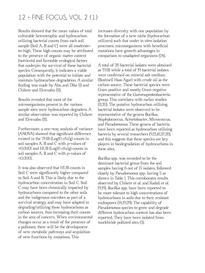Results showed that the mean values of total culturable heterotrophic and hydrocarbon utilizing bacterial counts from each soil sample (Soil A, B and C) were all moderateto-high. These high counts may be attributed to the presence of organic matter content (nutrients) and favorable ecological factors that underpin the survival of these bacterial species. Consequently, it indicates a viable population with the potential to initiate and maintain hydrocarbon degradation. A similar fnding was made by Abu and Dike (1) and Chikere and Ekwuabu (11).

Results revealed that most of the microorganisms present in the various sample sites were hydrocarbon degraders. A similar observation was reported by Chikere and Ekwuabu (11).

Furthermore, a one-way analysis of variance (ANOVA) showed that signifcant difference existed in the THB  $(Log10 \text{ cfu/g})$  counts in soil samples A, B and C with *p*-values of  $\leq 0.0001$  and HUB (Log10 cfu/g) counts in soil samples A, B and C with *p*-values of <0.0001.

It was also observed that HUB counts in Soil C were signifcantly higher compared to Soil A and B. This is likely due to the hydrocarbon concentration in Soil C. Soil C may have been chronically impacted by hydrocarbons compared to the other soils and the indigenous microbes as part of a survival strategy, and may have adapted to degrading/utilizing these hydrocarbons as carbon sources, thus increasing their counts in the area of concern. When environmental changes occur as a result of the presence of a pollutant, there will be the development of new metabolic pathways and acquisition of new functions by mutations. This

increases diversity with one population by the formation of a new niche (hydrocarbon utilizers) such that under *in vitro* isolation processes, microorganisms with benefcial mutations have growth advantages in comparison to unadapted organisms (24).

A total of 28 bacterial isolates were obtained as THB while a total of 19 bacterial isolates were confrmed on mineral salt medium (Bushnell Haas Agar) with crude oil as the carbon source. These bacterial species were Gram positive and mostly Gram negative representative of the *Gammaproteobacteria* group. This correlates with earlier studies (11,20). The putative hydrocarbon utilizing bacterial isolates were observed to be representative of the genera *Bacillus*, *Staphylococcus*, *Acinetobacter*, *Micrococcus*, and *Pseudomonas*. These genera of bacteria have been reported as hydrocarbon utilizing bacteria by several researchers (9,12,18,27,28), and this suggests that these species are key players in biodegradation of hydrocarbons in these sites.

*Bacillus* spp. was recorded to be the dominant bacterial genus from the soil samples having 6 out of 15 isolates, followed closely by *Pseudomonas* spp. having 5 as shown in Table 1. This corroborates results observed by Chikere *et al*. and Kadali *et al*. (9,19). *Bacillus* spp. have been reported to be more tolerant to high concentrations of hydrocarbons in soils due to their resistant endospores (14,19,29). The capability of *Pseudomonas* species to grow and degrade different hydrocarbon content has also been reported. They have been isolated from worldwide polluted sites (5).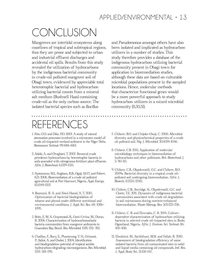# CONCLUSION

Mangroves are intertidal ecosystems along coastlines of tropical and subtropical regions, thus they are prone and subjected to urban and industrial effluent discharges and accidental oil spills. Results from this study revealed the utilization of hydrocarbons by the indigenous bacterial community in crude-oil polluted mangrove soil of Obagi town, evidenced by appreciable total heterotrophic bacterial and hydrocarbon utilizing bacterial counts from a mineral salt medium (Bushnell Haas) containing crude-oil as the only carbon source. The isolated bacterial species such as *Bacillus*

and *Pseudomonas* amongst others have also been isolated and implicated as hydrocarbon utilizers in a number of studies. This study therefore provides a database of the indigenous hydrocarbon utilizing bacterial community present in Obagi town for application in bioremediation studies, although these data are based on culturable microbial populations present in the sampled locations. Hence, molecular methods that characterize functional genes would be a more powerful approach to study hydrocarbon utilizers in a mixed microbial community (8,30,31).

# REFERENCES

- 1. Abu, G.O. and Dike, P.O. 2007. A study of natural attenuation processes involved in a microcosm model of crude oil-impacted wetland sediment in the Niger Delta. *Bioresource Technol.* 99:4761-4767.
- 2. Adoki, A. and Orugbani, T. 2007. Removal crude petroleum hydrocarbons by heterotrophic bacteria in soils amended with nitrogenous fertilizer plant effluents. *Afric. J. Biotechnol.* 6:1529-1535.
- 3. Ayotamuno, M.J., Kogbara, R.B., Ogaji, S.O.T. and Pobert, S.D. 2006. Bioremediation of a crude oil polluted agricultural soil at Port Harcourt, Nigeria. *Appl. Energy.* 83:1249-1257.
- 4. Bayoumi, R. A. and Abul-Hamd, A. T. 2010. Optimization of bacterial biodegradation of toluene and phenol under different nutritional and environmental conditions. *J. Appl. Sci. Res.* 68: 1086- 1095.
- 5. Brito, E. M. S., Guyoneaud, R., Goni-Urriza, M., Duran, R. 2006. Characterization of hydrocarbonoclastic bacteria communities from mangrove sediments in Guamabra Bay, Brazil. *Res. Microbiol.* 1578: 752- 762.
- 6. Chaillan, F., Bury, E., Phantavong, Y. H., Grimont, P., Saliot, A. and Oudot, J. 2004. Identifcation and biodegradation potential of tropical aerobic hydrocarbon-degrading microorganisms. *Res. Microbiol.* 1557: 587-595.

7. Chikere, B.O. and Chijoke-Osuji, C. 2006. Microbial diversity and physicochemical properties of a crude oil polluted soil. *Nig. J. Microbiol.* 20:1039-1046.

- 8. Chikere, C.B. 2013. Application of molecular microbiology techniques in bioremediation of hydrocarbons and other pollutants. *Brit. Biotechnol. J.* 3: 90-115.
- 9. Chikere, C.B., Okpokwasili, G.C. and Chikere, B.O. 2009a. Bacterial diversity in a tropical crude oilpolluted soil undergoing bioremediation. *Afric. J. Biotech.* 8:2535-2540.
- 10. Chikere, C.B., Surridge, K., Okpokwasili, G.C. and Cloete, T.E. 2011. Dynamics of indigenous bacterial communities associated with crude oil degradation in soil microcosms during nutrient-enhanced bioremediation. *Waste Manag. Res.* 303:225-236.
- 11. Chikere, C. B. and Ekwuabu, C. B. 2014. Culturedependent characterization of hydrocarbon utilizing bacteria in selected crude oil-impacted sites in Bodo, Ogoniland, Nigeria. *Afric. J. Environ. Sci. Technol.* 86: 401-406.
- 12. Ebrahimi, M., Sarikkhani, M.R. and Fallah, R. 2010. Assessment of biodegradation efficiency of some isolated bacteria from oil contaminated sites in solid and liquid media containing oil compounds. *Intl. Res. J. Appl. Basic Sci.* 31:138-147.